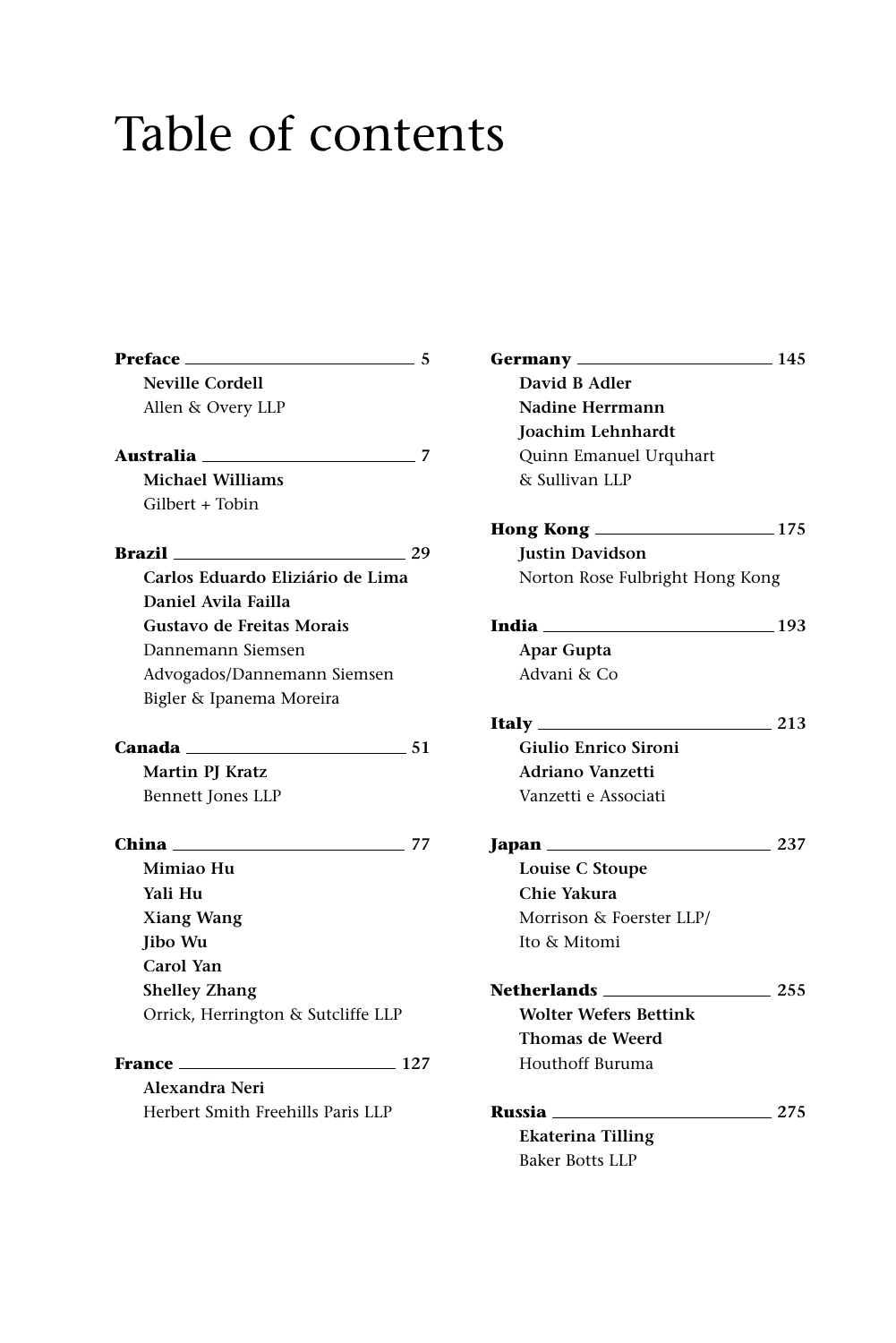## Table of contents

| Preface<br>5                                                       |
|--------------------------------------------------------------------|
| <b>Neville Cordell</b>                                             |
| Allen & Overy LLP                                                  |
|                                                                    |
| Australia _______________________<br>-7<br><b>Michael Williams</b> |
|                                                                    |
| Gilbert + Tobin                                                    |
| <b>Brazil</b><br>29                                                |
| Carlos Eduardo Eliziário de Lima                                   |
| Daniel Avila Failla                                                |
| Gustavo de Freitas Morais                                          |
| Dannemann Siemsen                                                  |
| Advogados/Dannemann Siemsen                                        |
| Bigler & Ipanema Moreira                                           |
|                                                                    |
|                                                                    |
| <b>Martin PJ Kratz</b>                                             |
| Bennett Jones LLP                                                  |
| China<br>77                                                        |
| Mimiao Hu                                                          |
| Yali Hu                                                            |
| <b>Xiang Wang</b>                                                  |
| <b>Jibo Wu</b>                                                     |
| Carol Yan                                                          |
| <b>Shelley Zhang</b>                                               |
| Orrick, Herrington & Sutcliffe LLP                                 |
|                                                                    |
| 127                                                                |
| Alexandra Neri                                                     |
| Herbert Smith Freehills Paris LLP                                  |
|                                                                    |

| Germany ________                | $\frac{145}{2}$ |
|---------------------------------|-----------------|
| David B Adler                   |                 |
| Nadine Herrmann                 |                 |
| Joachim Lehnhardt               |                 |
| Quinn Emanuel Urquhart          |                 |
| & Sullivan LLP                  |                 |
|                                 |                 |
| <b>Justin Davidson</b>          |                 |
| Norton Rose Fulbright Hong Kong |                 |
| <b>India</b> 193                |                 |
| <b>Apar Gupta</b>               |                 |
| Advani & Co                     |                 |
|                                 | $\sim$ 213      |
| Giulio Enrico Sironi            |                 |
| <b>Adriano Vanzetti</b>         |                 |
| Vanzetti e Associati            |                 |
|                                 | 237             |
| Louise C Stoupe                 |                 |
| Chie Yakura                     |                 |
| Morrison & Foerster LLP/        |                 |
| Ito & Mitomi                    |                 |
| Netherlands                     | $=255$          |
| <b>Wolter Wefers Bettink</b>    |                 |
| <b>Thomas de Weerd</b>          |                 |
| Houthoff Buruma                 |                 |
| <b>Russia</b> _________________ | 275             |
| <b>Ekaterina Tilling</b>        |                 |
| <b>Baker Botts LLP</b>          |                 |